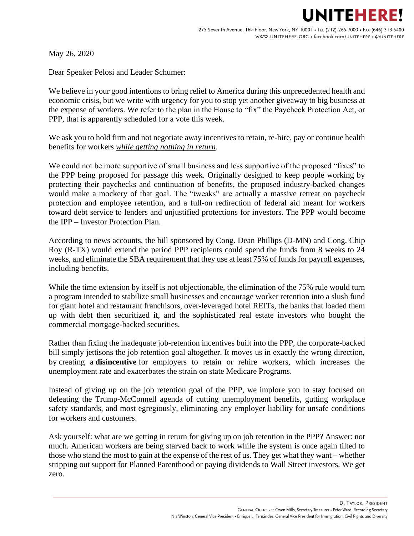## **NITEHERE!**

May 26, 2020

Dear Speaker Pelosi and Leader Schumer:

We believe in your good intentions to bring relief to America during this unprecedented health and economic crisis, but we write with urgency for you to stop yet another giveaway to big business at the expense of workers. We refer to the plan in the House to "fix" the Paycheck Protection Act, or PPP, that is apparently scheduled for a vote this week.

We ask you to hold firm and not negotiate away incentives to retain, re-hire, pay or continue health benefits for workers *while getting nothing in return*.

We could not be more supportive of small business and less supportive of the proposed "fixes" to the PPP being proposed for passage this week. Originally designed to keep people working by protecting their paychecks and continuation of benefits, the proposed industry-backed changes would make a mockery of that goal. The "tweaks" are actually a massive retreat on paycheck protection and employee retention, and a full-on redirection of federal aid meant for workers toward debt service to lenders and unjustified protections for investors. The PPP would become the IPP – Investor Protection Plan.

According to news accounts, the bill sponsored by Cong. Dean Phillips (D-MN) and Cong. Chip Roy (R-TX) would extend the period PPP recipients could spend the funds from 8 weeks to 24 weeks, and eliminate the SBA requirement that they use at least 75% of funds for payroll expenses, including benefits.

While the time extension by itself is not objectionable, the elimination of the 75% rule would turn a program intended to stabilize small businesses and encourage worker retention into a slush fund for giant hotel and restaurant franchisors, over-leveraged hotel REITs, the banks that loaded them up with debt then securitized it, and the sophisticated real estate investors who bought the commercial mortgage-backed securities.

Rather than fixing the inadequate job-retention incentives built into the PPP, the corporate-backed bill simply jettisons the job retention goal altogether. It moves us in exactly the wrong direction, by creating a **disincentive** for employers to retain or rehire workers, which increases the unemployment rate and exacerbates the strain on state Medicare Programs.

Instead of giving up on the job retention goal of the PPP, we implore you to stay focused on defeating the Trump-McConnell agenda of cutting unemployment benefits, gutting workplace safety standards, and most egregiously, eliminating any employer liability for unsafe conditions for workers and customers.

Ask yourself: what are we getting in return for giving up on job retention in the PPP? Answer: not much. American workers are being starved back to work while the system is once again tilted to those who stand the most to gain at the expense of the rest of us. They get what they want – whether stripping out support for Planned Parenthood or paying dividends to Wall Street investors. We get zero.